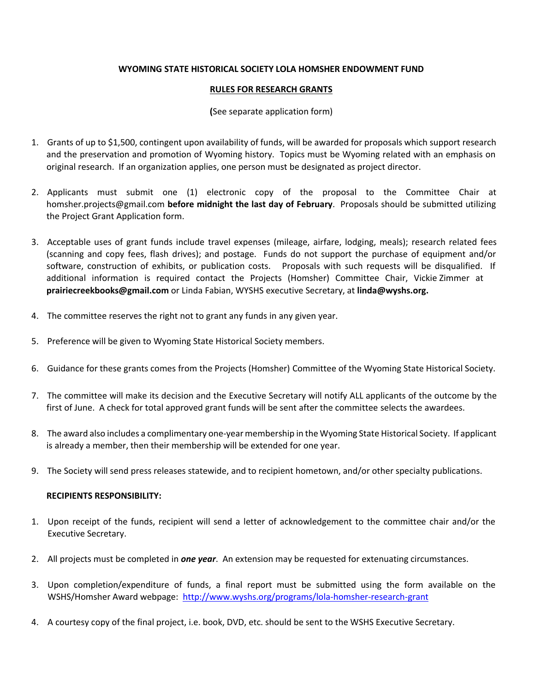## **WYOMING STATE HISTORICAL SOCIETY LOLA HOMSHER ENDOWMENT FUND**

## **RULES FOR RESEARCH GRANTS**

## **(**See separate application form)

- 1. Grants of up to \$1,500, contingent upon availability of funds, will be awarded for proposals which support research and the preservation and promotion of Wyoming history. Topics must be Wyoming related with an emphasis on original research. If an organization applies, one person must be designated as project director.
- 2. Applicants must submit one (1) electronic copy of the proposal to the Committee Chair at homsher.projects@gmail.com **before midnight the last day of February**. Proposals should be submitted utilizing the Project Grant Application form.
- 3. Acceptable uses of grant funds include travel expenses (mileage, airfare, lodging, meals); research related fees (scanning and copy fees, flash drives); and postage. Funds do not support the purchase of equipment and/or software, construction of exhibits, or publication costs. Proposals with such requests will be disqualified. If additional information is required contact the Projects (Homsher) Committee Chair, Vickie Zimmer at **prairiecreekbooks@gmail.com** or Linda Fabian, WYSHS executive Secretary, at **linda@wyshs.org.**
- 4. The committee reserves the right not to grant any funds in any given year.
- 5. Preference will be given to Wyoming State Historical Society members.
- 6. Guidance for these grants comes from the Projects (Homsher) Committee of the Wyoming State Historical Society.
- 7. The committee will make its decision and the Executive Secretary will notify ALL applicants of the outcome by the first of June. A check for total approved grant funds will be sent after the committee selects the awardees.
- 8. The award also includes a complimentary one-year membership in the Wyoming State Historical Society. If applicant is already a member, then their membership will be extended for one year.
- 9. The Society will send press releases statewide, and to recipient hometown, and/or other specialty publications.

## **RECIPIENTS RESPONSIBILITY:**

- 1. Upon receipt of the funds, recipient will send a letter of acknowledgement to the committee chair and/or the Executive Secretary.
- 2. All projects must be completed in *one year*. An extension may be requested for extenuating circumstances.
- 3. Upon completion/expenditure of funds, a final report must be submitted using the form available on the WSHS/Homsher Award webpage[: http://www.wyshs.org/programs/lola-homsher-research-grant](http://www.wyshs.org/programs/lola-homsher-research-grant)
- 4. A courtesy copy of the final project, i.e. book, DVD, etc. should be sent to the WSHS Executive Secretary.